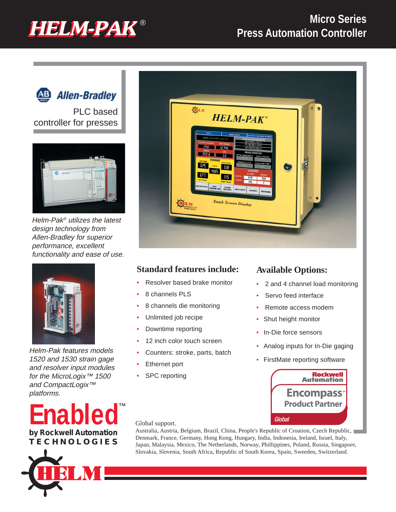# ® **HELM-PAK HELM-PAK**

## **Micro Series Press Automation Controller**



**Allen-Bradley** 

PLC based controller for presses



Helm-Pak® utilizes the latest design technology from Allen-Bradley for superior performance, excellent functionality and ease of use.



Helm-Pak features models 1520 and 1530 strain gage and resolver input modules for the MicroLogix<sup>™</sup> 1500 and CompactLogix<sup>™</sup> platforms.







### **Standard features include:**

- Resolver based brake monitor
- 8 channels PLS
- 8 channels die monitoring
- Unlimited job recipe
- Downtime reporting
- 12 inch color touch screen
- Counters: stroke, parts, batch
- **Ethernet port**
- SPC reporting

### **Available Options:**

- 2 and 4 channel load monitoring
- Servo feed interface
- Remote access modem
- Shut height monitor
- In-Die force sensors
- Analog inputs for In-Die gaging
- FirstMate reporting software



Global support.

Australia, Austria, Belgium, Brazil, China, People's Republic of Croation, Czech Republic, Denmark, France, Germany, Hong Kong, Hungary, India, Indonesia, Ireland, Israel, Italy, Japan, Malaysia, Mexico, The Netherlands, Norway, Phillippines, Poland, Russia, Singapore, Slovakia, Slovenia, South Africa, Republic of South Korea, Spain, Sweeden, Switzerland.